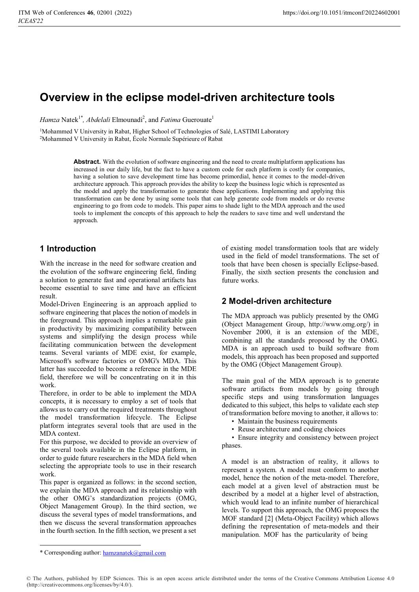# **Overview in the eclipse model-driven architecture tools**

*Hamza* Natek<sup>1\*</sup>, *Abdelali* Elmounadi<sup>2</sup>, and *Fatima* Guerouate<sup>1</sup>

<sup>1</sup>Mohammed V University in Rabat, Higher School of Technologies of Salé, LASTIMI Laboratory 2Mohammed V University in Rabat, École Normale Supérieure of Rabat

> **Abstract.** With the evolution of software engineering and the need to create multiplatform applications has increased in our daily life, but the fact to have a custom code for each platform is costly for companies, having a solution to save development time has become primordial, hence it comes to the model-driven architecture approach. This approach provides the ability to keep the business logic which is represented as the model and apply the transformation to generate these applications. Implementing and applying this transformation can be done by using some tools that can help generate code from models or do reverse engineering to go from code to models. This paper aims to shade light to the MDA approach and the used tools to implement the concepts of this approach to help the readers to save time and well understand the approach.

# **1 Introduction**

With the increase in the need for software creation and the evolution of the software engineering field, finding a solution to generate fast and operational artifacts has become essential to save time and have an efficient result.

Model-Driven Engineering is an approach applied to software engineering that places the notion of models in the foreground. This approach implies a remarkable gain in productivity by maximizing compatibility between systems and simplifying the design process while facilitating communication between the development teams. Several variants of MDE exist, for example, Microsoft's software factories or OMG's MDA. This latter has succeeded to become a reference in the MDE field, therefore we will be concentrating on it in this work.

Therefore, in order to be able to implement the MDA concepts, it is necessary to employ a set of tools that allows us to carry out the required treatments throughout the model transformation lifecycle. The Eclipse platform integrates several tools that are used in the MDA context.

For this purpose, we decided to provide an overview of the several tools available in the Eclipse platform, in order to guide future researchers in the MDA field when selecting the appropriate tools to use in their research work.

This paper is organized as follows: in the second section, we explain the MDA approach and its relationship with the other OMG's standardization projects (OMG, Object Management Group). In the third section, we discuss the several types of model transformations, and then we discuss the several transformation approaches in the fourth section. In the fifth section, we present a set

of existing model transformation tools that are widely used in the field of model transformations. The set of tools that have been chosen is specially Eclipse-based. Finally, the sixth section presents the conclusion and future works.

# **2 Model-driven architecture**

The MDA approach was publicly presented by the OMG (Object Management Group, http://www.omg.org/) in November 2000, it is an extension of the MDE, combining all the standards proposed by the OMG. MDA is an approach used to build software from models, this approach has been proposed and supported by the OMG (Object Management Group).

The main goal of the MDA approach is to generate software artifacts from models by going through specific steps and using transformation languages dedicated to this subject, this helps to validate each step of transformation before moving to another, it allows to:

- Maintain the business requirements
- Reuse architecture and coding choices

• Ensure integrity and consistency between project phases.

A model is an abstraction of reality, it allows to represent a system. A model must conform to another model, hence the notion of the meta-model. Therefore, each model at a given level of abstraction must be described by a model at a higher level of abstraction, which would lead to an infinite number of hierarchical levels. To support this approach, the OMG proposes the MOF standard [2] (Meta-Object Facility) which allows defining the representation of meta-models and their manipulation. MOF has the particularity of being

<sup>\*</sup> Corresponding author: hamzanatek@gmail.com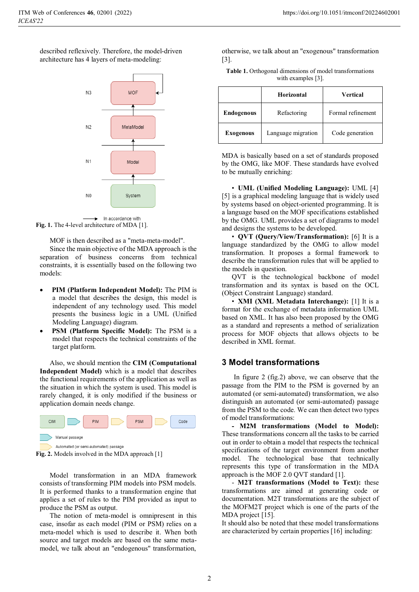described reflexively. Therefore, the model-driven architecture has 4 layers of meta-modeling:





MOF is then described as a "meta-meta-model".

Since the main objective of the MDA approach is the separation of business concerns from technical constraints, it is essentially based on the following two models:

- - **PIM (Platform Independent Model):** The PIM is a model that describes the design, this model is independent of any technology used. This model presents the business logic in a UML (Unified Modeling Language) diagram.
- - **PSM (Platform Specific Model):** The PSM is a model that respects the technical constraints of the target platform.

Also, we should mention the **CIM (Computational Independent Model)** which is a model that describes the functional requirements of the application as well as the situation in which the system is used. This model is rarely changed, it is only modified if the business or application domain needs change.





Model transformation in an MDA framework consists of transforming PIM models into PSM models. It is performed thanks to a transformation engine that applies a set of rules to the PIM provided as input to produce the PSM as output.

The notion of meta-model is omnipresent in this case, insofar as each model (PIM or PSM) relies on a meta-model which is used to describe it. When both source and target models are based on the same metamodel, we talk about an "endogenous" transformation,

otherwise, we talk about an "exogenous" transformation [3].

| <b>Table 1.</b> Orthogonal dimensions of model transformations |  |  |
|----------------------------------------------------------------|--|--|
| with examples $[3]$ .                                          |  |  |

|                   | Horizontal         | <b>Vertical</b>   |
|-------------------|--------------------|-------------------|
| <b>Endogenous</b> | Refactoring        | Formal refinement |
| <b>Exogenous</b>  | Language migration | Code generation   |

MDA is basically based on a set of standards proposed by the OMG, like MOF. These standards have evolved to be mutually enriching:

• **UML (Unified Modeling Language):** UML [4] [5] is a graphical modeling language that is widely used by systems based on object-oriented programming. It is a language based on the MOF specifications established by the OMG. UML provides a set of diagrams to model and designs the systems to be developed.

• **QVT (Query/View/Transformation):** [6] It is a language standardized by the OMG to allow model transformation. It proposes a formal framework to describe the transformation rules that will be applied to the models in question.

QVT is the technological backbone of model transformation and its syntax is based on the OCL (Object Constraint Language) standard.

• **XMI (XML Metadata Interchange):** [1] It is a format for the exchange of metadata information UML based on XML. It has also been proposed by the OMG as a standard and represents a method of serialization process for MOF objects that allows objects to be described in XML format.

#### **3 Model transformations**

In figure 2 (fig.2) above, we can observe that the passage from the PIM to the PSM is governed by an automated (or semi-automated) transformation, we also distinguish an automated (or semi-automated) passage from the PSM to the code. We can then detect two types of model transformations:

**- M2M transformations (Model to Model):**  These transformations concern all the tasks to be carried out in order to obtain a model that respects the technical specifications of the target environment from another model. The technological base that technically represents this type of transformation in the MDA approach is the MOF 2.0 QVT standard [1].

- **M2T transformations (Model to Text):** these transformations are aimed at generating code or documentation. M2T transformations are the subject of the MOFM2T project which is one of the parts of the MDA project [15].

It should also be noted that these model transformations are characterized by certain properties [16] including: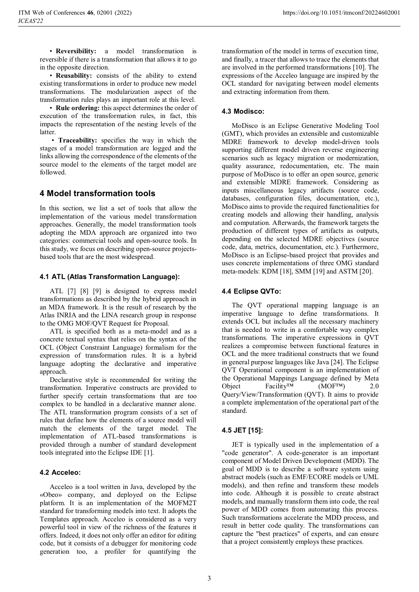• **Reversibility:** a model transformation is reversible if there is a transformation that allows it to go in the opposite direction.

• **Reusability:** consists of the ability to extend existing transformations in order to produce new model transformations. The modularization aspect of the transformation rules plays an important role at this level.

• **Rule ordering:** this aspect determines the order of execution of the transformation rules, in fact, this impacts the representation of the nesting levels of the latter.

• **Traceability:** specifies the way in which the stages of a model transformation are logged and the links allowing the correspondence of the elements of the source model to the elements of the target model are followed.

# **4 Model transformation tools**

In this section, we list a set of tools that allow the implementation of the various model transformation approaches. Generally, the model transformation tools adopting the MDA approach are organized into two categories: commercial tools and open-source tools. In this study, we focus on describing open-source projectsbased tools that are the most widespread.

### **4.1 ATL (Atlas Transformation Language):**

ATL [7] [8] [9] is designed to express model transformations as described by the hybrid approach in an MDA framework. It is the result of research by the Atlas INRIA and the LINA research group in response to the OMG MOF/QVT Request for Proposal.

ATL is specified both as a meta-model and as a concrete textual syntax that relies on the syntax of the OCL (Object Constraint Language) formalism for the expression of transformation rules. It is a hybrid language adopting the declarative and imperative approach.

Declarative style is recommended for writing the transformation. Imperative constructs are provided to further specify certain transformations that are too complex to be handled in a declarative manner alone. The ATL transformation program consists of a set of rules that define how the elements of a source model will match the elements of the target model. The implementation of ATL-based transformations is provided through a number of standard development tools integrated into the Eclipse IDE [1].

### **4.2 Acceleo:**

Acceleo is a tool written in Java, developed by the «Obeo» company, and deployed on the Eclipse platform. It is an implementation of the MOFM2T standard for transforming models into text. It adopts the Templates approach. Acceleo is considered as a very powerful tool in view of the richness of the features it offers. Indeed, it does not only offer an editor for editing code, but it consists of a debugger for monitoring code generation too, a profiler for quantifying the

transformation of the model in terms of execution time, and finally, a tracer that allows to trace the elements that are involved in the performed transformations [10]. The expressions of the Acceleo language are inspired by the OCL standard for navigating between model elements and extracting information from them.

### **4.3 Modisco:**

MoDisco is an Eclipse Generative Modeling Tool (GMT), which provides an extensible and customizable MDRE framework to develop model-driven tools supporting different model driven reverse engineering scenarios such as legacy migration or modernization, quality assurance, redocumentation, etc. The main purpose of MoDisco is to offer an open source, generic and extensible MDRE framework. Considering as inputs miscellaneous legacy artifacts (source code, databases, configuration files, documentation, etc.), MoDisco aims to provide the required functionalities for creating models and allowing their handling, analysis and computation. Afterwards, the framework targets the production of different types of artifacts as outputs, depending on the selected MDRE objectives (source code, data, metrics, documentation, etc.). Furthermore, MoDisco is an Eclipse-based project that provides and uses concrete implementations of three OMG standard meta-models: KDM [18], SMM [19] and ASTM [20].

#### **4.4 Eclipse QVTo:**

The QVT operational mapping language is an imperative language to define transformations. It extends OCL but includes all the necessary machinery that is needed to write in a comfortable way complex transformations. The imperative expressions in QVT realizes a compromise between functional features in OCL and the more traditional constructs that we found in general purpose languages like Java [24]. The Eclipse QVT Operational component is an implementation of the Operational Mappings Language defined by Meta Object Facility™ (MOF™) 2.0 Query/View/Transformation (QVT). It aims to provide a complete implementation of the operational part of the standard.

#### **4.5 JET [15]:**

JET is typically used in the implementation of a "code generator". A code-generator is an important component of Model Driven Development (MDD). The goal of MDD is to describe a software system using abstract models (such as EMF/ECORE models or UML models), and then refine and transform these models into code. Although it is possible to create abstract models, and manually transform them into code, the real power of MDD comes from automating this process. Such transformations accelerate the MDD process, and result in better code quality. The transformations can capture the "best practices" of experts, and can ensure that a project consistently employs these practices.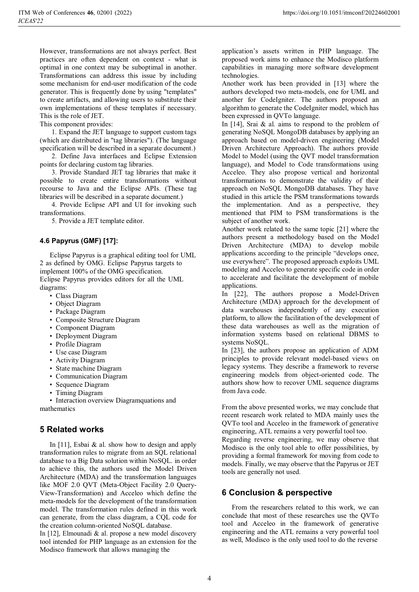However, transformations are not always perfect. Best practices are often dependent on context - what is optimal in one context may be suboptimal in another. Transformations can address this issue by including some mechanism for end-user modification of the code generator. This is frequently done by using "templates" to create artifacts, and allowing users to substitute their own implementations of these templates if necessary. This is the role of JET.

This component provides:

1. Expand the JET language to support custom tags (which are distributed in "tag libraries"). (The language specification will be described in a separate document.)

2. Define Java interfaces and Eclipse Extension points for declaring custom tag libraries.

3. Provide Standard JET tag libraries that make it possible to create entire transformations without recourse to Java and the Eclipse APIs. (These tag libraries will be described in a separate document.)

4. Provide Eclipse API and UI for invoking such transformations.

5. Provide a JET template editor.

#### **4.6 Papyrus (GMF) [17]:**

Eclipse Papyrus is a graphical editing tool for UML 2 as defined by OMG. Eclipse Papyrus targets to implement 100% of the OMG specification. Eclipse Papyrus provides editors for all the UML diagrams:

- Class Diagram
- Object Diagram
- Package Diagram
- Composite Structure Diagram
- Component Diagram
- Deployment Diagram
- Profile Diagram
- Use case Diagram
- Activity Diagram
- State machine Diagram
- Communication Diagram
- Sequence Diagram
- Timing Diagram

• Interaction overview Diagramquations and mathematics

#### **5 Related works**

In  $[11]$ , Esbai & al. show how to design and apply transformation rules to migrate from an SQL relational database to a Big Data solution within NoSQL. in order to achieve this, the authors used the Model Driven Architecture (MDA) and the transformation languages like MOF 2.0 QVT (Meta-Object Facility 2.0 Query-View-Transformation) and Acceleo which define the meta-models for the development of the transformation model. The transformation rules defined in this work can generate, from the class diagram, a CQL code for the creation column-oriented NoSQL database.

In [12], Elmounadi & al. propose a new model discovery tool intended for PHP language as an extension for the Modisco framework that allows managing the

application's assets written in PHP language. The proposed work aims to enhance the Modisco platform capabilities in managing more software development technologies.

Another work has been provided in [13] where the authors developed two meta-models, one for UML and another for CodeIgniter. The authors proposed an algorithm to generate the CodeIgniter model, which has been expressed in QVTo language.

In  $[14]$ , Srai & al. aims to respond to the problem of generating NoSQL MongoDB databases by applying an approach based on model-driven engineering (Model Driven Architecture Approach). The authors provide Model to Model (using the QVT model transformation language), and Model to Code transformations using Acceleo. They also propose vertical and horizontal transformations to demonstrate the validity of their approach on NoSQL MongoDB databases. They have studied in this article the PSM transformations towards the implementation. And as a perspective, they mentioned that PIM to PSM transformations is the subject of another work.

Another work related to the same topic [21] where the authors present a methodology based on the Model Driven Architecture (MDA) to develop mobile applications according to the principle "develops once, use everywhere". The proposed approach exploits UML modeling and Acceleo to generate specific code in order to accelerate and facilitate the development of mobile applications.

In [22], The authors propose a Model-Driven Architecture (MDA) approach for the development of data warehouses independently of any execution platform, to allow the facilitation of the development of these data warehouses as well as the migration of information systems based on relational DBMS to systems NoSQL.

In [23], the authors propose an application of ADM principles to provide relevant model-based views on legacy systems. They describe a framework to reverse engineering models from object-oriented code. The authors show how to recover UML sequence diagrams from Java code.

From the above presented works, we may conclude that recent research work related to MDA mainly uses the QVTo tool and Acceleo in the framework of generative engineering, ATL remains a very powerful tool too.

Regarding reverse engineering, we may observe that Modisco is the only tool able to offer possibilities, by providing a formal framework for moving from code to models. Finally, we may observe that the Papyrus or JET tools are generally not used.

### **6 Conclusion & perspective**

From the researchers related to this work, we can conclude that most of these researches use the QVTo tool and Acceleo in the framework of generative engineering and the ATL remains a very powerful tool as well, Modisco is the only used tool to do the reverse